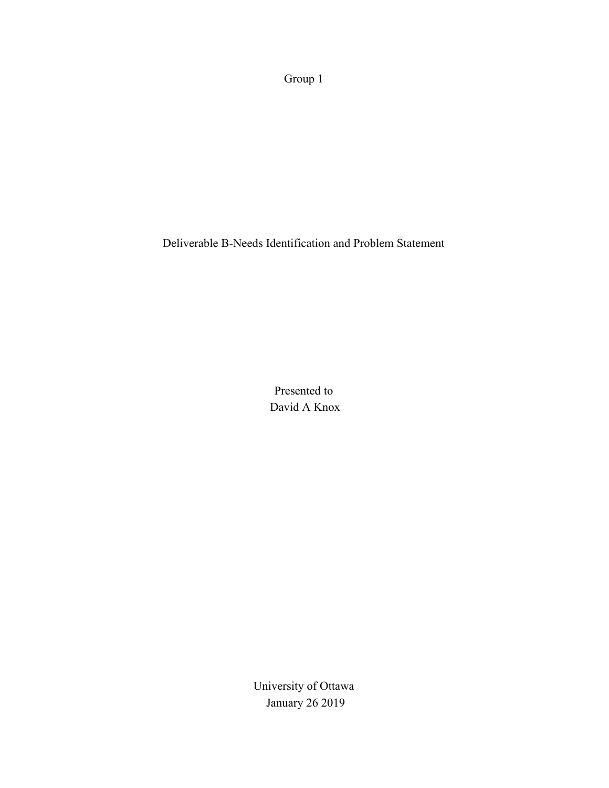Group 1

Deliverable B-Needs Identification and Problem Statement

Presented to David A Knox

University of Ottawa January 26 2019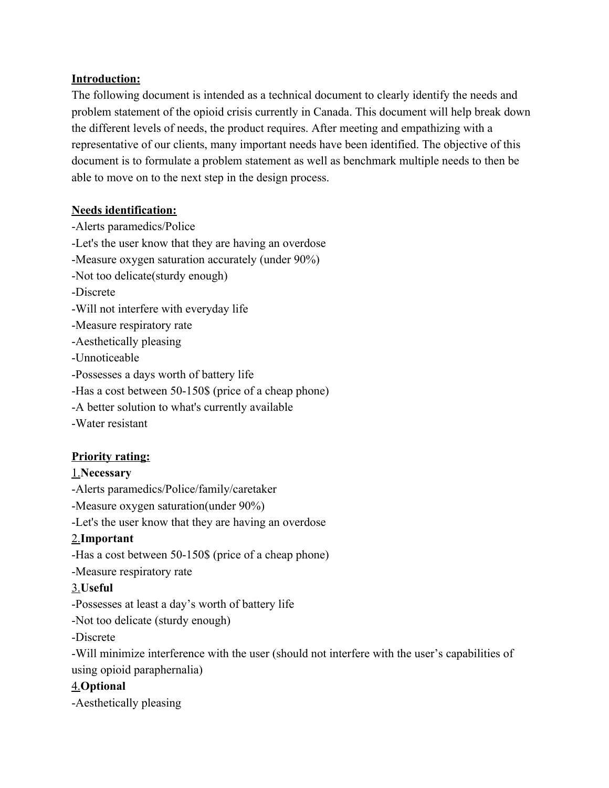#### **Introduction:**

The following document is intended as a technical document to clearly identify the needs and problem statement of the opioid crisis currently in Canada. This document will help break down the different levels of needs, the product requires. After meeting and empathizing with a representative of our clients, many important needs have been identified. The objective of this document is to formulate a problem statement as well as benchmark multiple needs to then be able to move on to the next step in the design process.

#### **Needs identification:**

-Alerts paramedics/Police -Let's the user know that they are having an overdose -Measure oxygen saturation accurately (under 90%) -Not too delicate(sturdy enough) -Discrete -Will not interfere with everyday life -Measure respiratory rate -Aesthetically pleasing -Unnoticeable -Possesses a days worth of battery life -Has a cost between 50-150\$ (price of a cheap phone) -A better solution to what's currently available -Water resistant

# **Priority rating:**

### 1.**Necessary**

-Alerts paramedics/Police/family/caretaker

-Measure oxygen saturation(under 90%)

-Let's the user know that they are having an overdose

# 2.**Important**

-Has a cost between 50-150\$ (price of a cheap phone)

-Measure respiratory rate

# 3.**Useful**

-Possesses at least a day's worth of battery life

-Not too delicate (sturdy enough)

-Discrete

-Will minimize interference with the user (should not interfere with the user's capabilities of using opioid paraphernalia)

# 4.**Optional**

-Aesthetically pleasing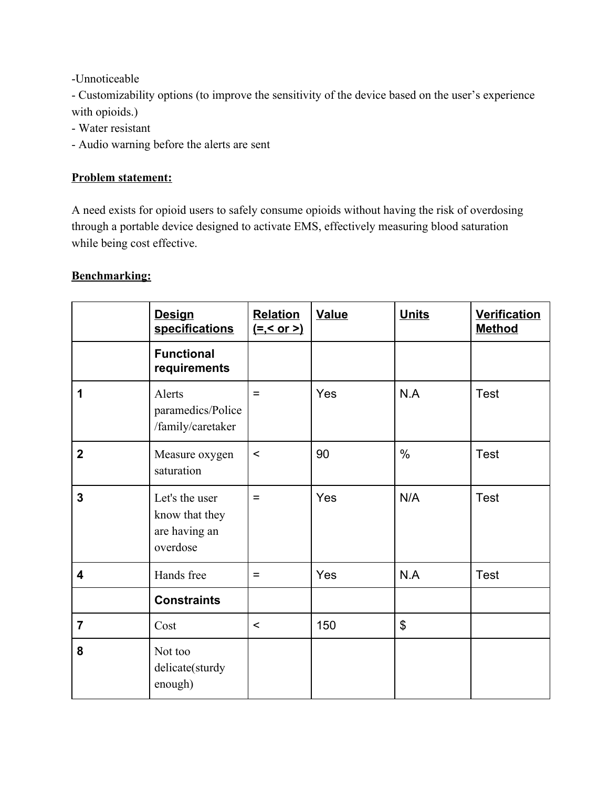-Unnoticeable

- Customizability options (to improve the sensitivity of the device based on the user's experience with opioids.)

- Water resistant
- Audio warning before the alerts are sent

#### **Problem statement:**

A need exists for opioid users to safely consume opioids without having the risk of overdosing through a portable device designed to activate EMS, effectively measuring blood saturation while being cost effective.

### **Benchmarking:**

|                         | <b>Design</b><br>specifications                               | <b>Relation</b><br><u>(=,&lt; or &gt;)</u> | <b>Value</b> | <b>Units</b>          | <b>Verification</b><br><b>Method</b> |
|-------------------------|---------------------------------------------------------------|--------------------------------------------|--------------|-----------------------|--------------------------------------|
|                         | <b>Functional</b><br>requirements                             |                                            |              |                       |                                      |
| 1                       | Alerts<br>paramedics/Police<br>/family/caretaker              | $=$                                        | Yes          | N.A                   | Test                                 |
| $\overline{2}$          | Measure oxygen<br>saturation                                  | $\prec$                                    | 90           | $\frac{0}{0}$         | <b>Test</b>                          |
| $\overline{3}$          | Let's the user<br>know that they<br>are having an<br>overdose | $=$                                        | Yes          | N/A                   | Test                                 |
| $\overline{\mathbf{4}}$ | Hands free                                                    | $=$                                        | Yes          | N.A                   | Test                                 |
|                         | <b>Constraints</b>                                            |                                            |              |                       |                                      |
| $\overline{7}$          | Cost                                                          | $\prec$                                    | 150          | $\boldsymbol{\theta}$ |                                      |
| 8                       | Not too<br>delicate(sturdy<br>enough)                         |                                            |              |                       |                                      |